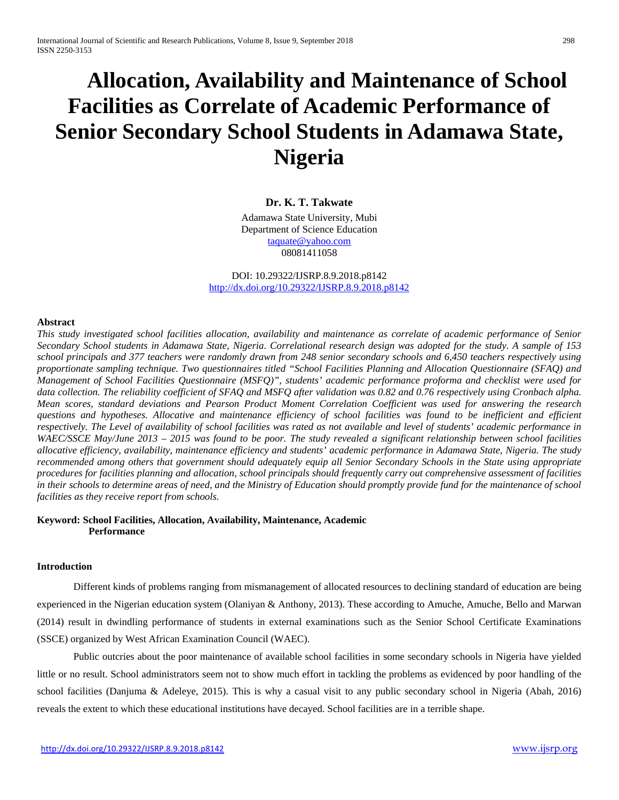# **Allocation, Availability and Maintenance of School Facilities as Correlate of Academic Performance of Senior Secondary School Students in Adamawa State, Nigeria**

## **Dr. K. T. Takwate**

Adamawa State University, Mubi Department of Science Education

> [taquate@yahoo.com](mailto:taquate@yahoo.com) 08081411058

DOI: 10.29322/IJSRP.8.9.2018.p8142 <http://dx.doi.org/10.29322/IJSRP.8.9.2018.p8142>

#### **Abstract**

*This study investigated school facilities allocation, availability and maintenance as correlate of academic performance of Senior Secondary School students in Adamawa State, Nigeria. Correlational research design was adopted for the study. A sample of 153 school principals and 377 teachers were randomly drawn from 248 senior secondary schools and 6,450 teachers respectively using proportionate sampling technique. Two questionnaires titled "School Facilities Planning and Allocation Questionnaire (SFAQ) and Management of School Facilities Questionnaire (MSFQ)", students' academic performance proforma and checklist were used for data collection. The reliability coefficient of SFAQ and MSFQ after validation was 0.82 and 0.76 respectively using Cronbach alpha. Mean scores, standard deviations and Pearson Product Moment Correlation Coefficient was used for answering the research questions and hypotheses. Allocative and maintenance efficiency of school facilities was found to be inefficient and efficient respectively. The Level of availability of school facilities was rated as not available and level of students' academic performance in WAEC/SSCE May/June 2013 – 2015 was found to be poor. The study revealed a significant relationship between school facilities allocative efficiency, availability, maintenance efficiency and students' academic performance in Adamawa State, Nigeria. The study recommended among others that government should adequately equip all Senior Secondary Schools in the State using appropriate procedures for facilities planning and allocation, school principals should frequently carry out comprehensive assessment of facilities in their schools to determine areas of need, and the Ministry of Education should promptly provide fund for the maintenance of school facilities as they receive report from schools.*

#### **Keyword: School Facilities, Allocation, Availability, Maintenance, Academic Performance**

## **Introduction**

Different kinds of problems ranging from mismanagement of allocated resources to declining standard of education are being experienced in the Nigerian education system (Olaniyan & Anthony, 2013). These according to Amuche, Amuche, Bello and Marwan (2014) result in dwindling performance of students in external examinations such as the Senior School Certificate Examinations (SSCE) organized by West African Examination Council (WAEC).

Public outcries about the poor maintenance of available school facilities in some secondary schools in Nigeria have yielded little or no result. School administrators seem not to show much effort in tackling the problems as evidenced by poor handling of the school facilities (Danjuma & Adeleye, 2015). This is why a casual visit to any public secondary school in Nigeria (Abah, 2016) reveals the extent to which these educational institutions have decayed. School facilities are in a terrible shape.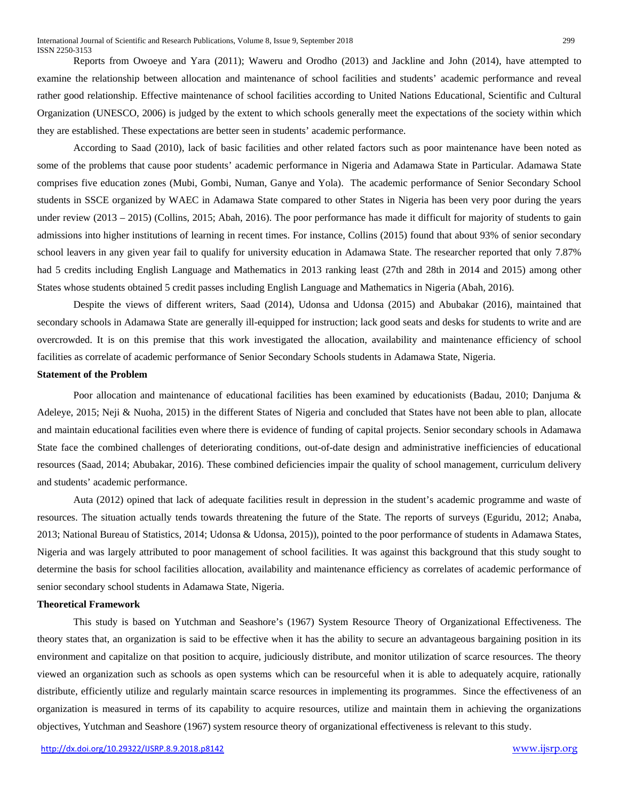Reports from Owoeye and Yara (2011); Waweru and Orodho (2013) and Jackline and John (2014), have attempted to examine the relationship between allocation and maintenance of school facilities and students' academic performance and reveal rather good relationship. Effective maintenance of school facilities according to United Nations Educational, Scientific and Cultural Organization (UNESCO, 2006) is judged by the extent to which schools generally meet the expectations of the society within which they are established. These expectations are better seen in students' academic performance.

According to Saad (2010), lack of basic facilities and other related factors such as poor maintenance have been noted as some of the problems that cause poor students' academic performance in Nigeria and Adamawa State in Particular. Adamawa State comprises five education zones (Mubi, Gombi, Numan, Ganye and Yola). The academic performance of Senior Secondary School students in SSCE organized by WAEC in Adamawa State compared to other States in Nigeria has been very poor during the years under review (2013 – 2015) (Collins, 2015; Abah, 2016). The poor performance has made it difficult for majority of students to gain admissions into higher institutions of learning in recent times. For instance, Collins (2015) found that about 93% of senior secondary school leavers in any given year fail to qualify for university education in Adamawa State. The researcher reported that only 7.87% had 5 credits including English Language and Mathematics in 2013 ranking least (27th and 28th in 2014 and 2015) among other States whose students obtained 5 credit passes including English Language and Mathematics in Nigeria (Abah, 2016).

Despite the views of different writers, Saad (2014), Udonsa and Udonsa (2015) and Abubakar (2016), maintained that secondary schools in Adamawa State are generally ill-equipped for instruction; lack good seats and desks for students to write and are overcrowded. It is on this premise that this work investigated the allocation, availability and maintenance efficiency of school facilities as correlate of academic performance of Senior Secondary Schools students in Adamawa State, Nigeria.

#### **Statement of the Problem**

Poor allocation and maintenance of educational facilities has been examined by educationists (Badau, 2010; Danjuma & Adeleye, 2015; Neji & Nuoha, 2015) in the different States of Nigeria and concluded that States have not been able to plan, allocate and maintain educational facilities even where there is evidence of funding of capital projects. Senior secondary schools in Adamawa State face the combined challenges of deteriorating conditions, out-of-date design and administrative inefficiencies of educational resources (Saad, 2014; Abubakar, 2016). These combined deficiencies impair the quality of school management, curriculum delivery and students' academic performance.

Auta (2012) opined that lack of adequate facilities result in depression in the student's academic programme and waste of resources. The situation actually tends towards threatening the future of the State. The reports of surveys (Eguridu, 2012; Anaba, 2013; National Bureau of Statistics, 2014; Udonsa & Udonsa, 2015)), pointed to the poor performance of students in Adamawa States, Nigeria and was largely attributed to poor management of school facilities. It was against this background that this study sought to determine the basis for school facilities allocation, availability and maintenance efficiency as correlates of academic performance of senior secondary school students in Adamawa State, Nigeria.

#### **Theoretical Framework**

This study is based on Yutchman and Seashore's (1967) System Resource Theory of Organizational Effectiveness. The theory states that, an organization is said to be effective when it has the ability to secure an advantageous bargaining position in its environment and capitalize on that position to acquire, judiciously distribute, and monitor utilization of scarce resources. The theory viewed an organization such as schools as open systems which can be resourceful when it is able to adequately acquire, rationally distribute, efficiently utilize and regularly maintain scarce resources in implementing its programmes. Since the effectiveness of an organization is measured in terms of its capability to acquire resources, utilize and maintain them in achieving the organizations objectives, Yutchman and Seashore (1967) system resource theory of organizational effectiveness is relevant to this study.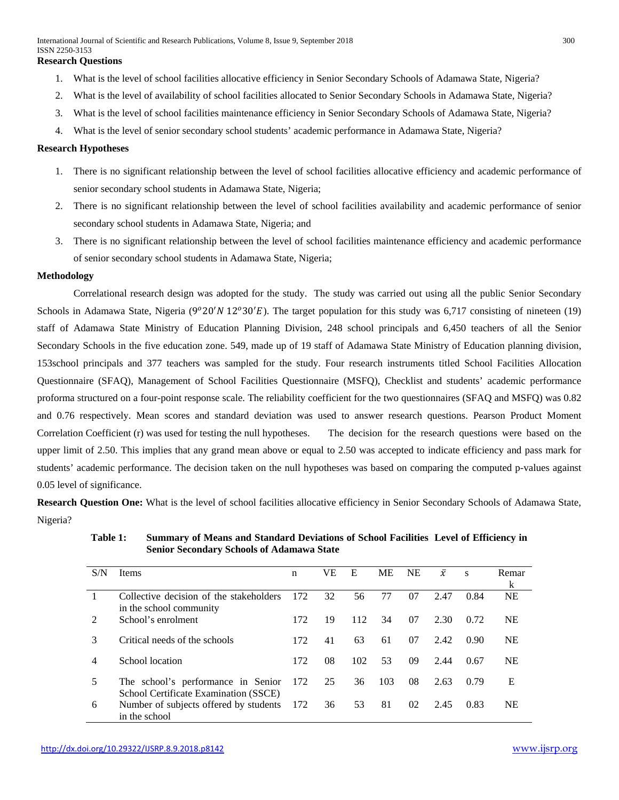- 1. What is the level of school facilities allocative efficiency in Senior Secondary Schools of Adamawa State, Nigeria?
- 2. What is the level of availability of school facilities allocated to Senior Secondary Schools in Adamawa State, Nigeria?
- 3. What is the level of school facilities maintenance efficiency in Senior Secondary Schools of Adamawa State, Nigeria?
- 4. What is the level of senior secondary school students' academic performance in Adamawa State, Nigeria?

#### **Research Hypotheses**

- 1. There is no significant relationship between the level of school facilities allocative efficiency and academic performance of senior secondary school students in Adamawa State, Nigeria;
- 2. There is no significant relationship between the level of school facilities availability and academic performance of senior secondary school students in Adamawa State, Nigeria; and
- 3. There is no significant relationship between the level of school facilities maintenance efficiency and academic performance of senior secondary school students in Adamawa State, Nigeria;

#### **Methodology**

Correlational research design was adopted for the study. The study was carried out using all the public Senior Secondary Schools in Adamawa State, Nigeria (9°20'N 12°30'E). The target population for this study was 6,717 consisting of nineteen (19) staff of Adamawa State Ministry of Education Planning Division, 248 school principals and 6,450 teachers of all the Senior Secondary Schools in the five education zone. 549, made up of 19 staff of Adamawa State Ministry of Education planning division, 153school principals and 377 teachers was sampled for the study. Four research instruments titled School Facilities Allocation Questionnaire (SFAQ), Management of School Facilities Questionnaire (MSFQ), Checklist and students' academic performance proforma structured on a four-point response scale. The reliability coefficient for the two questionnaires (SFAQ and MSFQ) was 0.82 and 0.76 respectively. Mean scores and standard deviation was used to answer research questions. Pearson Product Moment Correlation Coefficient (r) was used for testing the null hypotheses. The decision for the research questions were based on the upper limit of 2.50. This implies that any grand mean above or equal to 2.50 was accepted to indicate efficiency and pass mark for students' academic performance. The decision taken on the null hypotheses was based on comparing the computed p-values against 0.05 level of significance.

**Research Question One:** What is the level of school facilities allocative efficiency in Senior Secondary Schools of Adamawa State, Nigeria?

| S/N                         | <b>Items</b>                                                                | n     | VЕ | E   | <b>ME</b> | <b>NE</b> | $\bar{x}$ | S    | Remar     |
|-----------------------------|-----------------------------------------------------------------------------|-------|----|-----|-----------|-----------|-----------|------|-----------|
|                             |                                                                             |       |    |     |           |           |           |      | k         |
|                             | Collective decision of the stakeholders<br>in the school community          | 172   | 32 | 56  | 77        | 07        | 2.47      | 0.84 | <b>NE</b> |
| $\mathcal{D}_{\mathcal{L}}$ | School's enrolment                                                          | 172   | 19 | 112 | 34        | 07        | 2.30      | 0.72 | <b>NE</b> |
| 3                           | Critical needs of the schools                                               | 172.  | 41 | 63  | 61        | 07        | 2.42      | 0.90 | <b>NE</b> |
| 4                           | School location                                                             | 172   | 08 | 102 | 53        | 09        | 2.44      | 0.67 | <b>NE</b> |
|                             | The school's performance in Senior<br>School Certificate Examination (SSCE) | 172   | 25 | 36  | 103       | 08        | 2.63      | 0.79 | E         |
| 6                           | Number of subjects offered by students<br>in the school                     | - 172 | 36 | 53  | 81        | 02        | 2.45      | 0.83 | <b>NE</b> |

**Table 1: Summary of Means and Standard Deviations of School Facilities Level of Efficiency in Senior Secondary Schools of Adamawa State**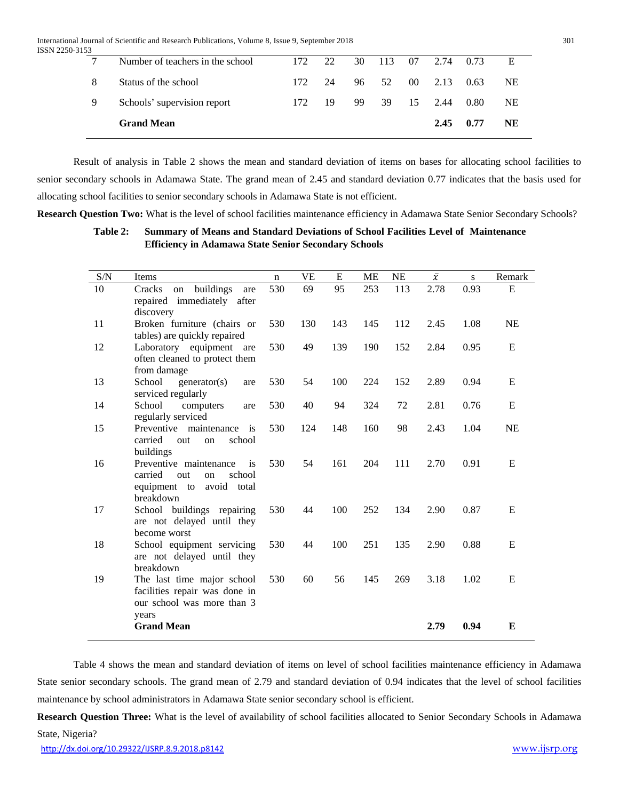International Journal of Scientific and Research Publications, Volume 8, Issue 9, September 2018 301 ISSN 2250-3153

|   | <b>Grand Mean</b>                |      |    |               | 2.45                       | 0.77 | NE        |
|---|----------------------------------|------|----|---------------|----------------------------|------|-----------|
| 9 | Schools' supervision report      | 172. | 19 | 99 39 15 2.44 |                            | 0.80 | <b>NE</b> |
| 8 | Status of the school             | 172  | 24 | 96 52         | $00 \quad 2.13 \quad 0.63$ |      | <b>NE</b> |
|   | Number of teachers in the school | 172  | 22 |               | 30 113 07 2.74 0.73        |      |           |
|   |                                  |      |    |               |                            |      |           |

Result of analysis in Table 2 shows the mean and standard deviation of items on bases for allocating school facilities to senior secondary schools in Adamawa State. The grand mean of 2.45 and standard deviation 0.77 indicates that the basis used for allocating school facilities to senior secondary schools in Adamawa State is not efficient.

**Research Question Two:** What is the level of school facilities maintenance efficiency in Adamawa State Senior Secondary Schools?

## **Table 2: Summary of Means and Standard Deviations of School Facilities Level of Maintenance Efficiency in Adamawa State Senior Secondary Schools**

| S/N | Items                                                    | $\mathbf n$ | VE  | E   | ME  | <b>NE</b> | $\bar{\chi}$ | S    | Remark    |
|-----|----------------------------------------------------------|-------------|-----|-----|-----|-----------|--------------|------|-----------|
| 10  | buildings<br>Cracks<br>on<br>are                         | 530         | 69  | 95  | 253 | 113       | 2.78         | 0.93 | E         |
|     | repaired immediately<br>after                            |             |     |     |     |           |              |      |           |
|     | discovery                                                |             |     |     |     |           |              |      |           |
| 11  | Broken furniture (chairs or                              | 530         | 130 | 143 | 145 | 112       | 2.45         | 1.08 | <b>NE</b> |
|     | tables) are quickly repaired                             |             |     |     |     |           |              |      |           |
| 12  | Laboratory equipment are                                 | 530         | 49  | 139 | 190 | 152       | 2.84         | 0.95 | E         |
|     | often cleaned to protect them<br>from damage             |             |     |     |     |           |              |      |           |
| 13  | School<br>generator(s)<br>are                            | 530         | 54  | 100 | 224 | 152       | 2.89         | 0.94 | E         |
|     | serviced regularly                                       |             |     |     |     |           |              |      |           |
| 14  | School<br>computers<br>are                               | 530         | 40  | 94  | 324 | 72        | 2.81         | 0.76 | E         |
|     | regularly serviced                                       |             |     |     |     |           |              |      |           |
| 15  | Preventive maintenance<br>is                             | 530         | 124 | 148 | 160 | 98        | 2.43         | 1.04 | <b>NE</b> |
|     | carried<br>school<br>out<br>on                           |             |     |     |     |           |              |      |           |
|     | buildings                                                |             |     |     |     |           |              |      |           |
| 16  | Preventive maintenance<br>is                             | 530         | 54  | 161 | 204 | 111       | 2.70         | 0.91 | E         |
|     | carried<br>out<br>school<br>on                           |             |     |     |     |           |              |      |           |
|     | equipment to<br>avoid<br>total                           |             |     |     |     |           |              |      |           |
|     | breakdown                                                |             |     |     |     |           |              |      |           |
| 17  | School buildings repairing<br>are not delayed until they | 530         | 44  | 100 | 252 | 134       | 2.90         | 0.87 | E         |
|     | become worst                                             |             |     |     |     |           |              |      |           |
| 18  | School equipment servicing                               | 530         | 44  | 100 | 251 | 135       | 2.90         | 0.88 | E         |
|     | are not delayed until they                               |             |     |     |     |           |              |      |           |
|     | breakdown                                                |             |     |     |     |           |              |      |           |
| 19  | The last time major school                               | 530         | 60  | 56  | 145 | 269       | 3.18         | 1.02 | E         |
|     | facilities repair was done in                            |             |     |     |     |           |              |      |           |
|     | our school was more than 3                               |             |     |     |     |           |              |      |           |
|     | years                                                    |             |     |     |     |           |              |      |           |
|     | <b>Grand Mean</b>                                        |             |     |     |     |           | 2.79         | 0.94 | E         |
|     |                                                          |             |     |     |     |           |              |      |           |

Table 4 shows the mean and standard deviation of items on level of school facilities maintenance efficiency in Adamawa State senior secondary schools. The grand mean of 2.79 and standard deviation of 0.94 indicates that the level of school facilities maintenance by school administrators in Adamawa State senior secondary school is efficient.

**Research Question Three:** What is the level of availability of school facilities allocated to Senior Secondary Schools in Adamawa State, Nigeria?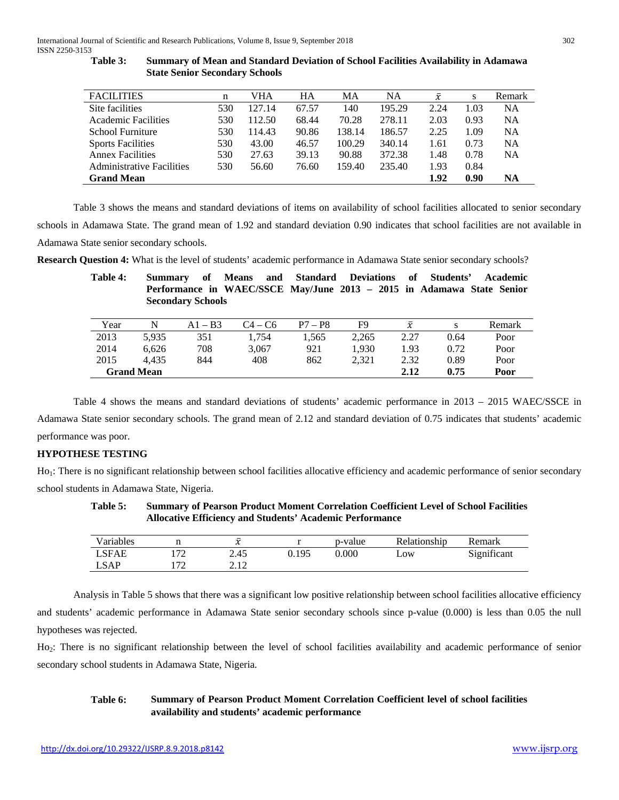| <b>FACILITIES</b>                | n   | VHA    | <b>HA</b> | MА     | <b>NA</b> | $\bar{x}$ | S    | Remark    |
|----------------------------------|-----|--------|-----------|--------|-----------|-----------|------|-----------|
| Site facilities                  | 530 | 127.14 | 67.57     | 140    | 195.29    | 2.24      | 1.03 | <b>NA</b> |
| Academic Facilities              | 530 | 112.50 | 68.44     | 70.28  | 278.11    | 2.03      | 0.93 | <b>NA</b> |
| School Furniture                 | 530 | 114.43 | 90.86     | 138.14 | 186.57    | 2.25      | 1.09 | <b>NA</b> |
| <b>Sports Facilities</b>         | 530 | 43.00  | 46.57     | 100.29 | 340.14    | 1.61      | 0.73 | <b>NA</b> |
| <b>Annex Facilities</b>          | 530 | 27.63  | 39.13     | 90.88  | 372.38    | 1.48      | 0.78 | <b>NA</b> |
| <b>Administrative Facilities</b> | 530 | 56.60  | 76.60     | 159.40 | 235.40    | 1.93      | 0.84 |           |
| <b>Grand Mean</b>                |     |        |           |        |           | 1.92      | 0.90 | <b>NA</b> |

| Table 3: | <b>Summary of Mean and Standard Deviation of School Facilities Availability in Adamawa</b> |
|----------|--------------------------------------------------------------------------------------------|
|          | <b>State Senior Secondary Schools</b>                                                      |

Table 3 shows the means and standard deviations of items on availability of school facilities allocated to senior secondary schools in Adamawa State. The grand mean of 1.92 and standard deviation 0.90 indicates that school facilities are not available in Adamawa State senior secondary schools.

**Research Question 4:** What is the level of students' academic performance in Adamawa State senior secondary schools?

| Table 4: | Summary | of                       | Means and Standard Deviations of Students'                            |           |       |                    |      | Academic |
|----------|---------|--------------------------|-----------------------------------------------------------------------|-----------|-------|--------------------|------|----------|
|          |         |                          | Performance in WAEC/SSCE May/June 2013 - 2015 in Adamawa State Senior |           |       |                    |      |          |
|          |         | <b>Secondary Schools</b> |                                                                       |           |       |                    |      |          |
|          |         |                          |                                                                       |           |       |                    |      |          |
| Year     |         | $A1 - B3$                | $C4 - C6$                                                             | $P7 - P8$ | F9    | $\bar{\mathbf{r}}$ |      | Remark   |
| 2013     | 5.935   | 351                      | 1.754                                                                 | 1.565     | 2.265 | 2.27               | 0.64 | Poor     |
| 2014     | 6.626   | 708                      | 3.067                                                                 | 921       | 1.930 | 1.93               | 0.72 | Poor     |

2015 4,435 844 408 862 2,321 2.32 0.89 Poor **Grand Mean 2.12 0.75 Poor** 

| Table 4 shows the means and standard deviations of students' academic performance in 2013 – 2015 WAEC/SSCE in                   |
|---------------------------------------------------------------------------------------------------------------------------------|
| Adamawa State senior secondary schools. The grand mean of 2.12 and standard deviation of 0.75 indicates that students' academic |
| performance was poor.                                                                                                           |

## **HYPOTHESE TESTING**

Ho<sub>1</sub>: There is no significant relationship between school facilities allocative efficiency and academic performance of senior secondary school students in Adamawa State, Nigeria.

| <b>Table 5:</b> | <b>Summary of Pearson Product Moment Correlation Coefficient Level of School Facilities</b> |
|-----------------|---------------------------------------------------------------------------------------------|
|                 | <b>Allocative Efficiency and Students' Academic Performance</b>                             |

| Variables    |                | $\overline{\phantom{a}}$<br>∼ |       | p-value | Relationship      | Remark      |
|--------------|----------------|-------------------------------|-------|---------|-------------------|-------------|
| <b>LSFAE</b> | 70،            | 2.45                          | 0.195 | 0.000   | $L$ <sup>OW</sup> | Significant |
| <b>LSAP</b>  | $\overline{7}$ | າ 1າ<br>4. I 4                |       |         |                   |             |

Analysis in Table 5 shows that there was a significant low positive relationship between school facilities allocative efficiency and students' academic performance in Adamawa State senior secondary schools since p-value (0.000) is less than 0.05 the null hypotheses was rejected.

Ho2: There is no significant relationship between the level of school facilities availability and academic performance of senior secondary school students in Adamawa State, Nigeria.

## **Table 6: Summary of Pearson Product Moment Correlation Coefficient level of school facilities availability and students' academic performance**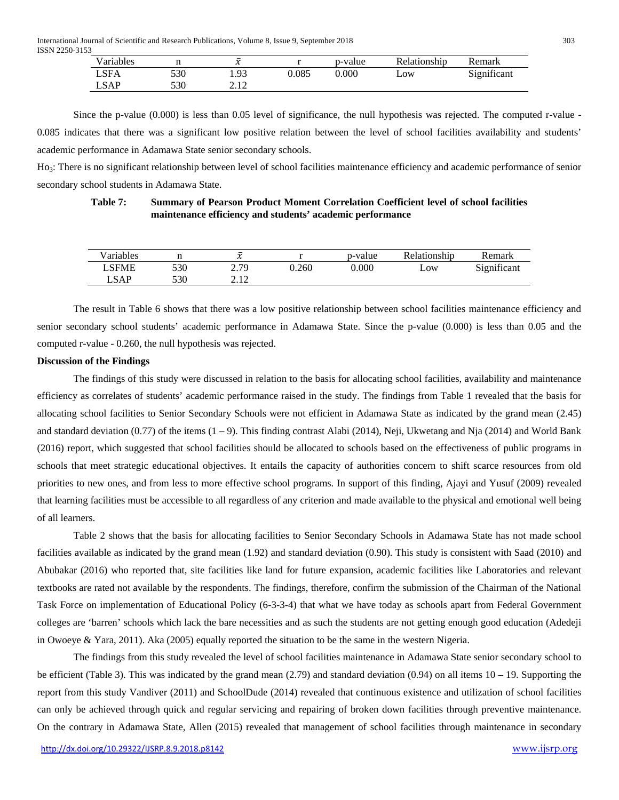International Journal of Scientific and Research Publications, Volume 8, Issue 9, September 2018 303 ISSN 2250-3153

| Variables |     | $\overline{a}$<br>v |       | p-value | Relationship | Kemark      |
|-----------|-----|---------------------|-------|---------|--------------|-------------|
| LSFA      | 530 | 1.93                | 0.085 | 0.000   | Low          | Significant |
| LSAP      | 530 | າ 1 າ<br>4. I 4     |       |         |              |             |

Since the p-value (0.000) is less than 0.05 level of significance, the null hypothesis was rejected. The computed r-value - 0.085 indicates that there was a significant low positive relation between the level of school facilities availability and students' academic performance in Adamawa State senior secondary schools.

Ho3: There is no significant relationship between level of school facilities maintenance efficiency and academic performance of senior secondary school students in Adamawa State.

| <b>Table 7:</b> | Summary of Pearson Product Moment Correlation Coefficient level of school facilities |
|-----------------|--------------------------------------------------------------------------------------|
|                 | maintenance efficiency and students' academic performance                            |

| <b>TT</b><br>Variables |     | $\overline{\phantom{a}}$<br>$\overline{a}$<br>∼ |       | p-value | Relationship | Kemark      |
|------------------------|-----|-------------------------------------------------|-------|---------|--------------|-------------|
| LSFME                  | 530 | 2.79                                            | 0.260 | 0.000   | Low          | Significant |
| $\_SAP$                | 530 | 1 <sub>2</sub><br><u>        4. L</u>           |       |         |              |             |

The result in Table 6 shows that there was a low positive relationship between school facilities maintenance efficiency and senior secondary school students' academic performance in Adamawa State. Since the p-value (0.000) is less than 0.05 and the computed r-value - 0.260, the null hypothesis was rejected.

#### **Discussion of the Findings**

The findings of this study were discussed in relation to the basis for allocating school facilities, availability and maintenance efficiency as correlates of students' academic performance raised in the study. The findings from Table 1 revealed that the basis for allocating school facilities to Senior Secondary Schools were not efficient in Adamawa State as indicated by the grand mean (2.45) and standard deviation (0.77) of the items  $(1 - 9)$ . This finding contrast Alabi (2014), Neji, Ukwetang and Nja (2014) and World Bank (2016) report, which suggested that school facilities should be allocated to schools based on the effectiveness of public programs in schools that meet strategic educational objectives. It entails the capacity of authorities concern to shift scarce resources from old priorities to new ones, and from less to more effective school programs. In support of this finding, Ajayi and Yusuf (2009) revealed that learning facilities must be accessible to all regardless of any criterion and made available to the physical and emotional well being of all learners.

Table 2 shows that the basis for allocating facilities to Senior Secondary Schools in Adamawa State has not made school facilities available as indicated by the grand mean (1.92) and standard deviation (0.90). This study is consistent with Saad (2010) and Abubakar (2016) who reported that, site facilities like land for future expansion, academic facilities like Laboratories and relevant textbooks are rated not available by the respondents. The findings, therefore, confirm the submission of the Chairman of the National Task Force on implementation of Educational Policy (6-3-3-4) that what we have today as schools apart from Federal Government colleges are 'barren' schools which lack the bare necessities and as such the students are not getting enough good education (Adedeji in Owoeye & Yara, 2011). Aka (2005) equally reported the situation to be the same in the western Nigeria.

The findings from this study revealed the level of school facilities maintenance in Adamawa State senior secondary school to be efficient (Table 3). This was indicated by the grand mean  $(2.79)$  and standard deviation  $(0.94)$  on all items  $10 - 19$ . Supporting the report from this study Vandiver (2011) and SchoolDude (2014) revealed that continuous existence and utilization of school facilities can only be achieved through quick and regular servicing and repairing of broken down facilities through preventive maintenance. On the contrary in Adamawa State, Allen (2015) revealed that management of school facilities through maintenance in secondary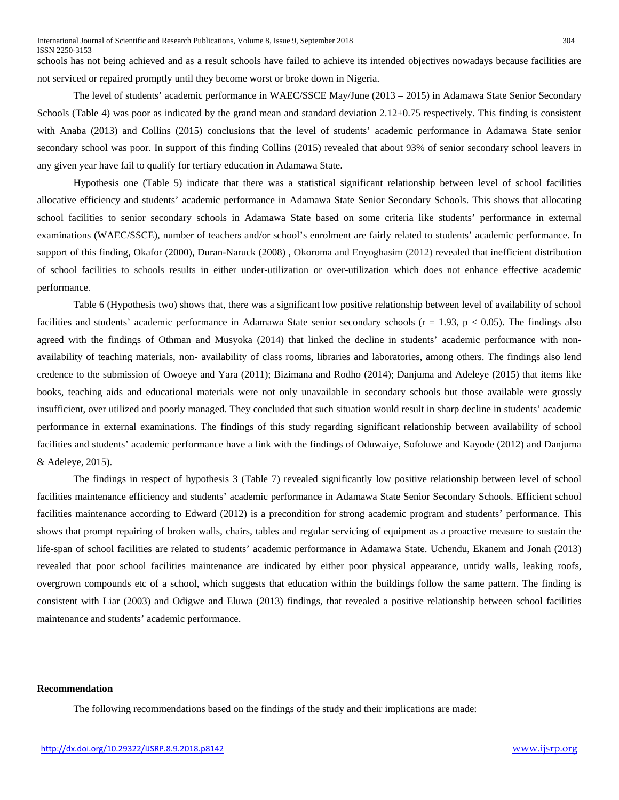schools has not being achieved and as a result schools have failed to achieve its intended objectives nowadays because facilities are not serviced or repaired promptly until they become worst or broke down in Nigeria.

The level of students' academic performance in WAEC/SSCE May/June (2013 – 2015) in Adamawa State Senior Secondary Schools (Table 4) was poor as indicated by the grand mean and standard deviation  $2.12\pm0.75$  respectively. This finding is consistent with Anaba (2013) and Collins (2015) conclusions that the level of students' academic performance in Adamawa State senior secondary school was poor. In support of this finding Collins (2015) revealed that about 93% of senior secondary school leavers in any given year have fail to qualify for tertiary education in Adamawa State.

Hypothesis one (Table 5) indicate that there was a statistical significant relationship between level of school facilities allocative efficiency and students' academic performance in Adamawa State Senior Secondary Schools. This shows that allocating school facilities to senior secondary schools in Adamawa State based on some criteria like students' performance in external examinations (WAEC/SSCE), number of teachers and/or school's enrolment are fairly related to students' academic performance. In support of this finding, Okafor (2000), Duran-Naruck (2008) , Okoroma and Enyoghasim (2012) revealed that inefficient distribution of school facilities to schools results in either under-utilization or over-utilization which does not enhance effective academic performance.

Table 6 (Hypothesis two) shows that, there was a significant low positive relationship between level of availability of school facilities and students' academic performance in Adamawa State senior secondary schools ( $r = 1.93$ ,  $p < 0.05$ ). The findings also agreed with the findings of Othman and Musyoka (2014) that linked the decline in students' academic performance with nonavailability of teaching materials, non- availability of class rooms, libraries and laboratories, among others. The findings also lend credence to the submission of Owoeye and Yara (2011); Bizimana and Rodho (2014); Danjuma and Adeleye (2015) that items like books, teaching aids and educational materials were not only unavailable in secondary schools but those available were grossly insufficient, over utilized and poorly managed. They concluded that such situation would result in sharp decline in students' academic performance in external examinations. The findings of this study regarding significant relationship between availability of school facilities and students' academic performance have a link with the findings of Oduwaiye, Sofoluwe and Kayode (2012) and Danjuma & Adeleye, 2015).

The findings in respect of hypothesis 3 (Table 7) revealed significantly low positive relationship between level of school facilities maintenance efficiency and students' academic performance in Adamawa State Senior Secondary Schools. Efficient school facilities maintenance according to Edward (2012) is a precondition for strong academic program and students' performance. This shows that prompt repairing of broken walls, chairs, tables and regular servicing of equipment as a proactive measure to sustain the life-span of school facilities are related to students' academic performance in Adamawa State. Uchendu, Ekanem and Jonah (2013) revealed that poor school facilities maintenance are indicated by either poor physical appearance, untidy walls, leaking roofs, overgrown compounds etc of a school, which suggests that education within the buildings follow the same pattern. The finding is consistent with Liar (2003) and Odigwe and Eluwa (2013) findings, that revealed a positive relationship between school facilities maintenance and students' academic performance.

## **Recommendation**

The following recommendations based on the findings of the study and their implications are made: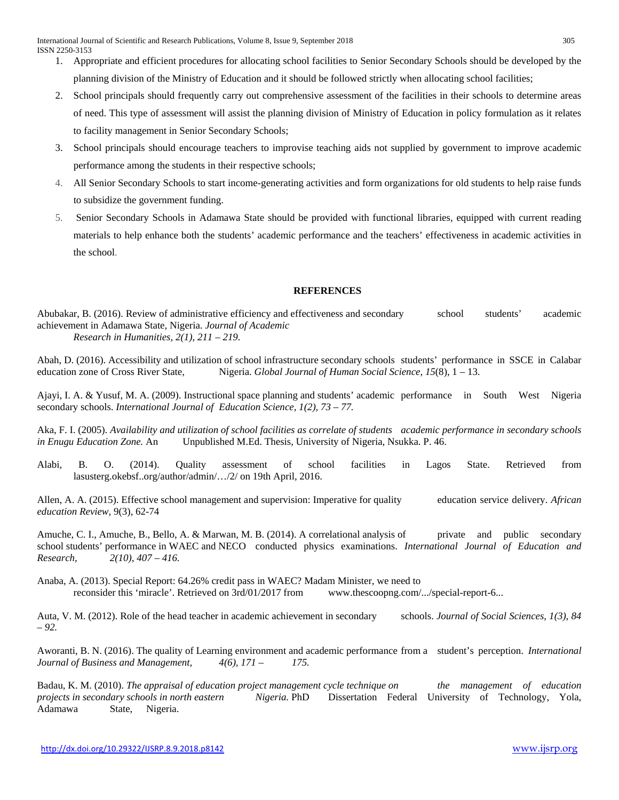- 1. Appropriate and efficient procedures for allocating school facilities to Senior Secondary Schools should be developed by the planning division of the Ministry of Education and it should be followed strictly when allocating school facilities;
- 2. School principals should frequently carry out comprehensive assessment of the facilities in their schools to determine areas of need. This type of assessment will assist the planning division of Ministry of Education in policy formulation as it relates to facility management in Senior Secondary Schools;
- 3. School principals should encourage teachers to improvise teaching aids not supplied by government to improve academic performance among the students in their respective schools;
- 4. All Senior Secondary Schools to start income-generating activities and form organizations for old students to help raise funds to subsidize the government funding.
- 5. Senior Secondary Schools in Adamawa State should be provided with functional libraries, equipped with current reading materials to help enhance both the students' academic performance and the teachers' effectiveness in academic activities in the school.

#### **REFERENCES**

Abubakar, B. (2016). Review of administrative efficiency and effectiveness and secondary school students' academic achievement in Adamawa State, Nigeria. *Journal of Academic Research in Humanities, 2(1), 211 – 219.*

Abah, D. (2016). Accessibility and utilization of school infrastructure secondary schools students' performance in SSCE in Calabar education zone of Cross River State, Nigeria. *Global Journal of Human Social Science*, 15(8), 1 – 13.

Ajayi, I. A. & Yusuf, M. A. (2009). Instructional space planning and students' academic performance in South West Nigeria secondary schools. *International Journal of Education Science, 1(2), 73 – 77.*

Aka, F. I. (2005). *Availability and utilization of school facilities as correlate of students academic performance in secondary schools in Enugu Education Zone.* An Unpublished M.Ed. Thesis, University of Nigeria, Nsukka. P. 46.

Alabi, B. O. (2014). Quality assessment of school facilities in Lagos State. Retrieved from lasusterg.okebsf..org/author/admin/…/2/ on 19th April, 2016.

Allen, A. A. (2015). Effective school management and supervision: Imperative for quality education service delivery. *African education Review,* 9(3), 62-74

Amuche, C. I., Amuche, B., Bello, A. & Marwan, M. B. (2014). A correlational analysis of private and public secondary school students' performance in WAEC and NECO conducted physics examinations. *International Journal of Education and Research, 2(10), 407 – 416.*

Anaba, A. (2013). Special Report: 64.26% credit pass in WAEC? Madam Minister, we need to reconsider this 'miracle'. Retrieved on 3rd/01/2017 from [www.thescoopng.com/.../special-report-6.](http://www.thescoopng.com/.../special-report-6)..

Auta, V. M. (2012). Role of the head teacher in academic achievement in secondary schools. *Journal of Social Sciences, 1(3), 84 – 92.* 

Aworanti, B. N. (2016). The quality of Learning environment and academic performance from a student's perception. *International Journal of Business and Management, 4(6), 171 – 175.* 

Badau, K. M. (2010). *The appraisal of education project management cycle technique on the management of education projects in secondary schools in north eastern Nigeria.* PhD Dissertation Federal University of Technology, Yola, Adamawa State, Nigeria.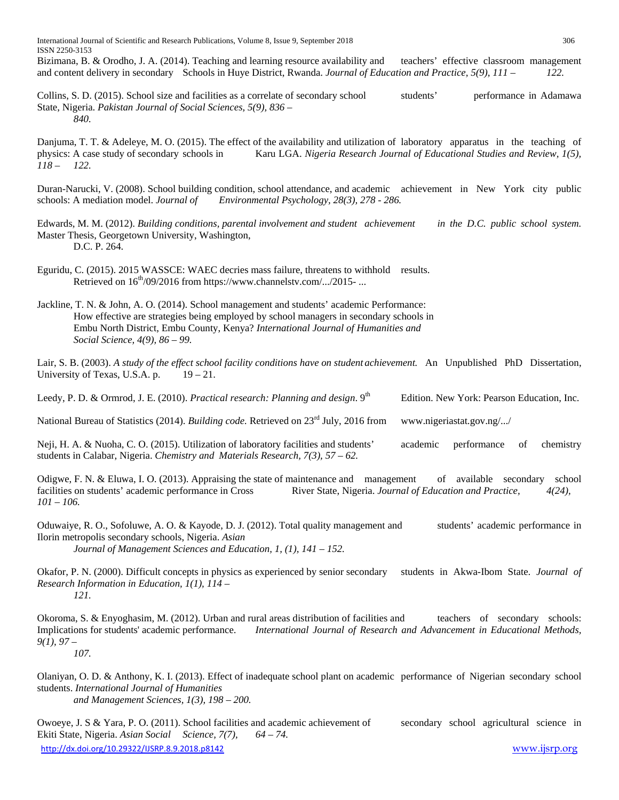International Journal of Scientific and Research Publications, Volume 8, Issue 9, September 2018 306 ISSN 2250-3153

Bizimana, B. & Orodho, J. A. (2014). Teaching and learning resource availability and teachers' effective classroom management and content delivery in secondary Schools in Huye District, Rwanda. *Journal of Education and Practice, 5(9), 111 – 122.*

Collins, S. D. (2015). School size and facilities as a correlate of secondary school students' performance in Adamawa State, Nigeria. *Pakistan Journal of Social Sciences, 5(9), 836 – 840.*

Danjuma, T. T. & Adeleye, M. O. (2015). The effect of the availability and utilization of laboratory apparatus in the teaching of physics: A case study of secondary schools in Karu LGA. *Nigeria Research Journal of Educational Studies and Review, 1(5), 118 – 122.*

Duran-Narucki, V. (2008). School building condition, school attendance, and academic achievement in New York city public schools: A mediation model. *Journal of Environmental Psychology, 28(3), 278 - 286.*

Edwards, M. M. (2012). *Building conditions, parental involvement and student achievement in the D.C. public school system.* Master Thesis, Georgetown University, Washington, D.C. P. 264.

Eguridu, C. (2015). 2015 WASSCE: WAEC decries mass failure, threatens to withhold results. Retrieved on  $16^{th}/09/2016$  fro[m https://www.channelstv.com/.../2015-](https://www.channelstv.com/.../2015-)...

Jackline, T. N. & John, A. O. (2014). School management and students' academic Performance: How effective are strategies being employed by school managers in secondary schools in Embu North District, Embu County, Kenya? *International Journal of Humanities and Social Science, 4(9), 86 – 99.*

Lair, S. B. (2003). *A study of the effect school facility conditions have on student achievement*. An Unpublished PhD Dissertation, University of Texas, U.S.A. p.  $19-21$ .

Leedy, P. D. & Ormrod, J. E. (2010). *Practical research: Planning and design*. 9<sup>th</sup> Edition. New York: Pearson Education, Inc.

National Bureau of Statistics (2014). *Building code.* Retrieved on 23rd July, 2016 from www.nigeriastat.gov.ng/.../

Neji, H. A. & Nuoha, C. O. (2015). Utilization of laboratory facilities and students' academic performance of chemistry students in Calabar, Nigeria. *Chemistry and Materials Research, 7(3), 57 – 62.* 

Odigwe, F. N. & Eluwa, I. O. (2013). Appraising the state of maintenance and management of available secondary school facilities on students' academic performance in Cross River State, Nigeria. *Journal of Education and Practice*,  $4(24)$ , *101 – 106.*

Oduwaiye, R. O., Sofoluwe, A. O. & Kayode, D. J. (2012). Total quality management and students' academic performance in Ilorin metropolis secondary schools, Nigeria. *Asian* 

*Journal of Management Sciences and Education, 1, (1), 141 – 152.*

Okafor, P. N. (2000). Difficult concepts in physics as experienced by senior secondary students in Akwa-Ibom State. *Journal of Research Information in Education, 1(1), 114 – 121.* 

Okoroma, S. & Enyoghasim, M. (2012). Urban and rural areas distribution of facilities and teachers of secondary schools: Implications for students' academic performance. *International Journal of Research and Advancement in Educational Methods, 9(1), 97 –*

*107.*

Olaniyan, O. D. & Anthony, K. I. (2013). Effect of inadequate school plant on academic performance of Nigerian secondary school students. *International Journal of Humanities and Management Sciences, 1(3), 198 – 200.*

<http://dx.doi.org/10.29322/IJSRP.8.9.2018.p8142> [www.ijsrp.org](http://ijsrp.org/) Owoeye, J. S & Yara, P. O. (2011). School facilities and academic achievement of secondary school agricultural science in Ekiti State, Nigeria. *Asian Social Science, 7(7), 64 – 74.*